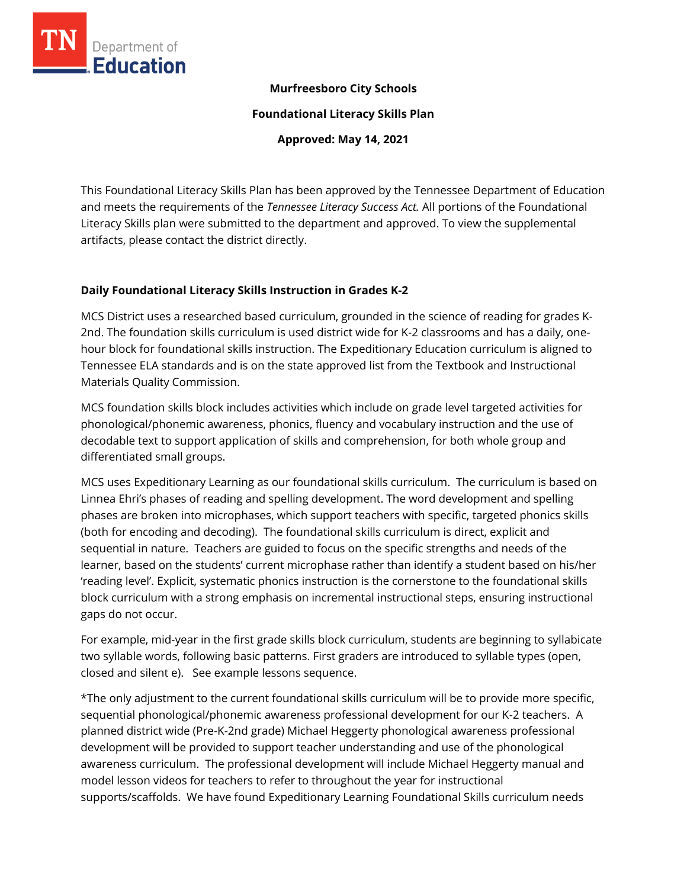

#### **Murfreesboro City Schools**

**Foundational Literacy Skills Plan**

**Approved: May 14, 2021**

This Foundational Literacy Skills Plan has been approved by the Tennessee Department of Education and meets the requirements of the *Tennessee Literacy Success Act.* All portions of the Foundational Literacy Skills plan were submitted to the department and approved. To view the supplemental artifacts, please contact the district directly.

#### **Daily Foundational Literacy Skills Instruction in Grades K-2**

MCS District uses a researched based curriculum, grounded in the science of reading for grades K-2nd. The foundation skills curriculum is used district wide for K-2 classrooms and has a daily, onehour block for foundational skills instruction. The Expeditionary Education curriculum is aligned to Tennessee ELA standards and is on the state approved list from the Textbook and Instructional Materials Quality Commission.

MCS foundation skills block includes activities which include on grade level targeted activities for phonological/phonemic awareness, phonics, fluency and vocabulary instruction and the use of decodable text to support application of skills and comprehension, for both whole group and differentiated small groups.

MCS uses Expeditionary Learning as our foundational skills curriculum. The curriculum is based on Linnea Ehri's phases of reading and spelling development. The word development and spelling phases are broken into microphases, which support teachers with specific, targeted phonics skills (both for encoding and decoding). The foundational skills curriculum is direct, explicit and sequential in nature. Teachers are guided to focus on the specific strengths and needs of the learner, based on the students' current microphase rather than identify a student based on his/her 'reading level'. Explicit, systematic phonics instruction is the cornerstone to the foundational skills block curriculum with a strong emphasis on incremental instructional steps, ensuring instructional gaps do not occur.

For example, mid-year in the first grade skills block curriculum, students are beginning to syllabicate two syllable words, following basic patterns. First graders are introduced to syllable types (open, closed and silent e). See example lessons sequence.

\*The only adjustment to the current foundational skills curriculum will be to provide more specific, sequential phonological/phonemic awareness professional development for our K-2 teachers. A planned district wide (Pre-K-2nd grade) Michael Heggerty phonological awareness professional development will be provided to support teacher understanding and use of the phonological awareness curriculum. The professional development will include Michael Heggerty manual and model lesson videos for teachers to refer to throughout the year for instructional supports/scaffolds. We have found Expeditionary Learning Foundational Skills curriculum needs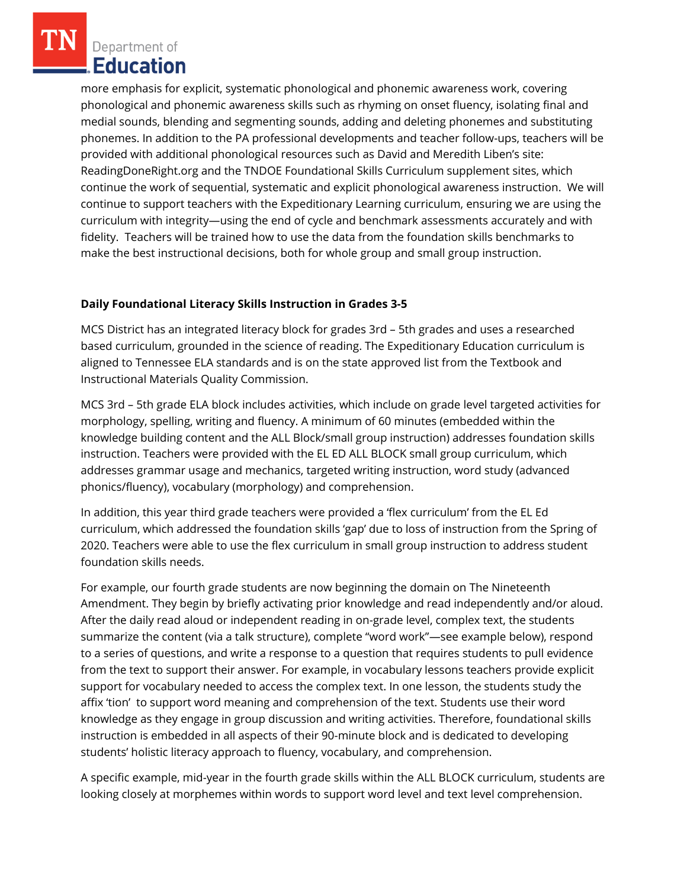more emphasis for explicit, systematic phonological and phonemic awareness work, covering phonological and phonemic awareness skills such as rhyming on onset fluency, isolating final and medial sounds, blending and segmenting sounds, adding and deleting phonemes and substituting phonemes. In addition to the PA professional developments and teacher follow-ups, teachers will be provided with additional phonological resources such as David and Meredith Liben's site: ReadingDoneRight.org and the TNDOE Foundational Skills Curriculum supplement sites, which continue the work of sequential, systematic and explicit phonological awareness instruction. We will continue to support teachers with the Expeditionary Learning curriculum, ensuring we are using the curriculum with integrity—using the end of cycle and benchmark assessments accurately and with fidelity. Teachers will be trained how to use the data from the foundation skills benchmarks to make the best instructional decisions, both for whole group and small group instruction.

## **Daily Foundational Literacy Skills Instruction in Grades 3-5**

MCS District has an integrated literacy block for grades 3rd – 5th grades and uses a researched based curriculum, grounded in the science of reading. The Expeditionary Education curriculum is aligned to Tennessee ELA standards and is on the state approved list from the Textbook and Instructional Materials Quality Commission.

MCS 3rd – 5th grade ELA block includes activities, which include on grade level targeted activities for morphology, spelling, writing and fluency. A minimum of 60 minutes (embedded within the knowledge building content and the ALL Block/small group instruction) addresses foundation skills instruction. Teachers were provided with the EL ED ALL BLOCK small group curriculum, which addresses grammar usage and mechanics, targeted writing instruction, word study (advanced phonics/fluency), vocabulary (morphology) and comprehension.

In addition, this year third grade teachers were provided a 'flex curriculum' from the EL Ed curriculum, which addressed the foundation skills 'gap' due to loss of instruction from the Spring of 2020. Teachers were able to use the flex curriculum in small group instruction to address student foundation skills needs.

For example, our fourth grade students are now beginning the domain on The Nineteenth Amendment. They begin by briefly activating prior knowledge and read independently and/or aloud. After the daily read aloud or independent reading in on-grade level, complex text, the students summarize the content (via a talk structure), complete "word work"—see example below), respond to a series of questions, and write a response to a question that requires students to pull evidence from the text to support their answer. For example, in vocabulary lessons teachers provide explicit support for vocabulary needed to access the complex text. In one lesson, the students study the affix 'tion' to support word meaning and comprehension of the text. Students use their word knowledge as they engage in group discussion and writing activities. Therefore, foundational skills instruction is embedded in all aspects of their 90-minute block and is dedicated to developing students' holistic literacy approach to fluency, vocabulary, and comprehension.

A specific example, mid-year in the fourth grade skills within the ALL BLOCK curriculum, students are looking closely at morphemes within words to support word level and text level comprehension.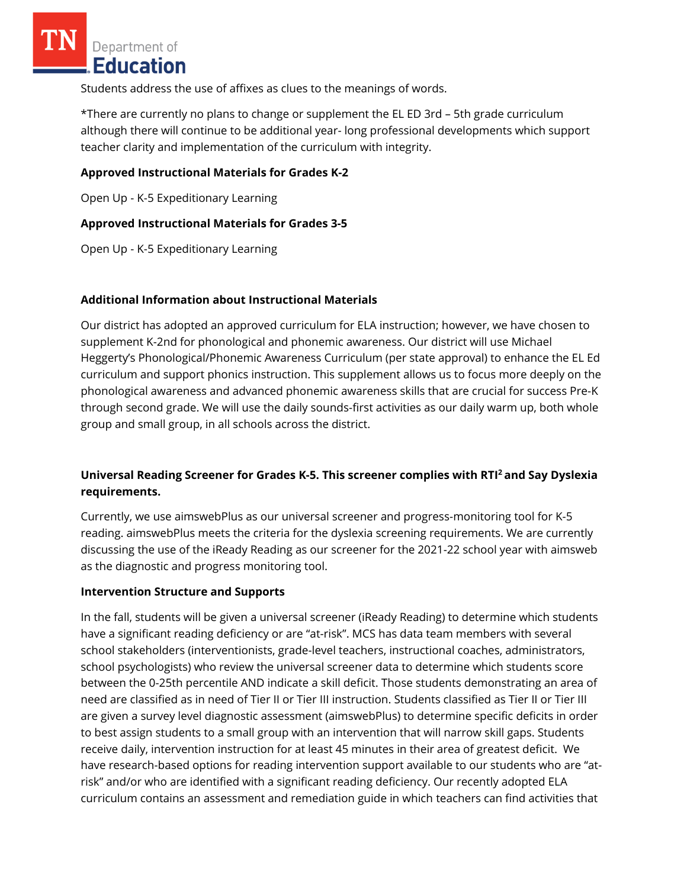Students address the use of affixes as clues to the meanings of words.

\*There are currently no plans to change or supplement the EL ED 3rd – 5th grade curriculum although there will continue to be additional year- long professional developments which support teacher clarity and implementation of the curriculum with integrity.

## **Approved Instructional Materials for Grades K-2**

Open Up - K-5 Expeditionary Learning

## **Approved Instructional Materials for Grades 3-5**

Open Up - K-5 Expeditionary Learning

## **Additional Information about Instructional Materials**

Our district has adopted an approved curriculum for ELA instruction; however, we have chosen to supplement K-2nd for phonological and phonemic awareness. Our district will use Michael Heggerty's Phonological/Phonemic Awareness Curriculum (per state approval) to enhance the EL Ed curriculum and support phonics instruction. This supplement allows us to focus more deeply on the phonological awareness and advanced phonemic awareness skills that are crucial for success Pre-K through second grade. We will use the daily sounds-first activities as our daily warm up, both whole group and small group, in all schools across the district.

# **Universal Reading Screener for Grades K-5. This screener complies with RTI<sup>2</sup>and Say Dyslexia requirements.**

Currently, we use aimswebPlus as our universal screener and progress-monitoring tool for K-5 reading. aimswebPlus meets the criteria for the dyslexia screening requirements. We are currently discussing the use of the iReady Reading as our screener for the 2021-22 school year with aimsweb as the diagnostic and progress monitoring tool.

#### **Intervention Structure and Supports**

In the fall, students will be given a universal screener (iReady Reading) to determine which students have a significant reading deficiency or are "at-risk". MCS has data team members with several school stakeholders (interventionists, grade-level teachers, instructional coaches, administrators, school psychologists) who review the universal screener data to determine which students score between the 0-25th percentile AND indicate a skill deficit. Those students demonstrating an area of need are classified as in need of Tier II or Tier III instruction. Students classified as Tier II or Tier III are given a survey level diagnostic assessment (aimswebPlus) to determine specific deficits in order to best assign students to a small group with an intervention that will narrow skill gaps. Students receive daily, intervention instruction for at least 45 minutes in their area of greatest deficit. We have research-based options for reading intervention support available to our students who are "atrisk" and/or who are identified with a significant reading deficiency. Our recently adopted ELA curriculum contains an assessment and remediation guide in which teachers can find activities that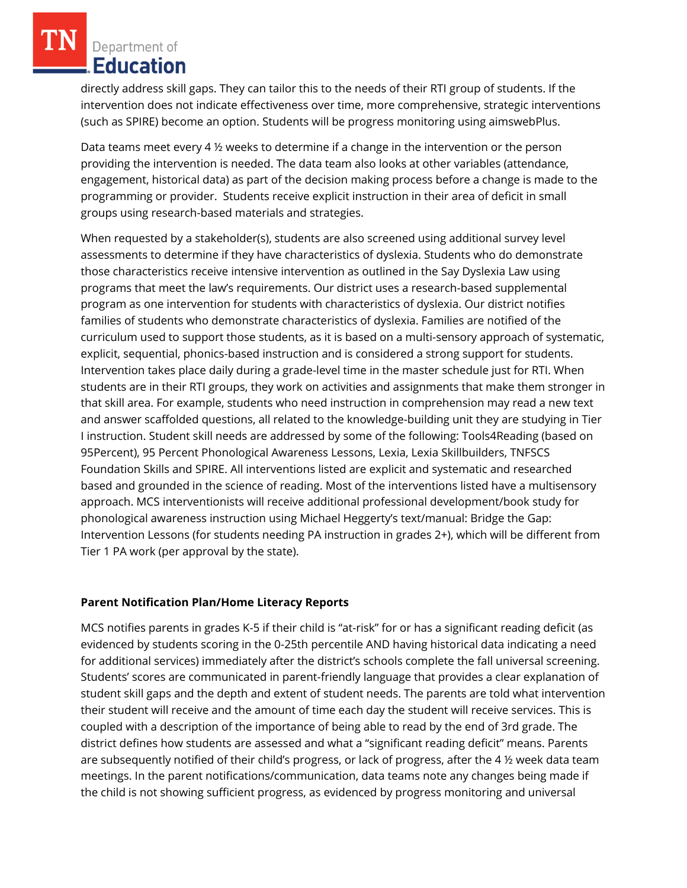directly address skill gaps. They can tailor this to the needs of their RTI group of students. If the intervention does not indicate effectiveness over time, more comprehensive, strategic interventions (such as SPIRE) become an option. Students will be progress monitoring using aimswebPlus.

Data teams meet every 4 ½ weeks to determine if a change in the intervention or the person providing the intervention is needed. The data team also looks at other variables (attendance, engagement, historical data) as part of the decision making process before a change is made to the programming or provider. Students receive explicit instruction in their area of deficit in small groups using research-based materials and strategies.

When requested by a stakeholder(s), students are also screened using additional survey level assessments to determine if they have characteristics of dyslexia. Students who do demonstrate those characteristics receive intensive intervention as outlined in the Say Dyslexia Law using programs that meet the law's requirements. Our district uses a research-based supplemental program as one intervention for students with characteristics of dyslexia. Our district notifies families of students who demonstrate characteristics of dyslexia. Families are notified of the curriculum used to support those students, as it is based on a multi-sensory approach of systematic, explicit, sequential, phonics-based instruction and is considered a strong support for students. Intervention takes place daily during a grade-level time in the master schedule just for RTI. When students are in their RTI groups, they work on activities and assignments that make them stronger in that skill area. For example, students who need instruction in comprehension may read a new text and answer scaffolded questions, all related to the knowledge-building unit they are studying in Tier I instruction. Student skill needs are addressed by some of the following: Tools4Reading (based on 95Percent), 95 Percent Phonological Awareness Lessons, Lexia, Lexia Skillbuilders, TNFSCS Foundation Skills and SPIRE. All interventions listed are explicit and systematic and researched based and grounded in the science of reading. Most of the interventions listed have a multisensory approach. MCS interventionists will receive additional professional development/book study for phonological awareness instruction using Michael Heggerty's text/manual: Bridge the Gap: Intervention Lessons (for students needing PA instruction in grades 2+), which will be different from Tier 1 PA work (per approval by the state).

#### **Parent Notification Plan/Home Literacy Reports**

MCS notifies parents in grades K-5 if their child is "at-risk" for or has a significant reading deficit (as evidenced by students scoring in the 0-25th percentile AND having historical data indicating a need for additional services) immediately after the district's schools complete the fall universal screening. Students' scores are communicated in parent-friendly language that provides a clear explanation of student skill gaps and the depth and extent of student needs. The parents are told what intervention their student will receive and the amount of time each day the student will receive services. This is coupled with a description of the importance of being able to read by the end of 3rd grade. The district defines how students are assessed and what a "significant reading deficit" means. Parents are subsequently notified of their child's progress, or lack of progress, after the 4 ½ week data team meetings. In the parent notifications/communication, data teams note any changes being made if the child is not showing sufficient progress, as evidenced by progress monitoring and universal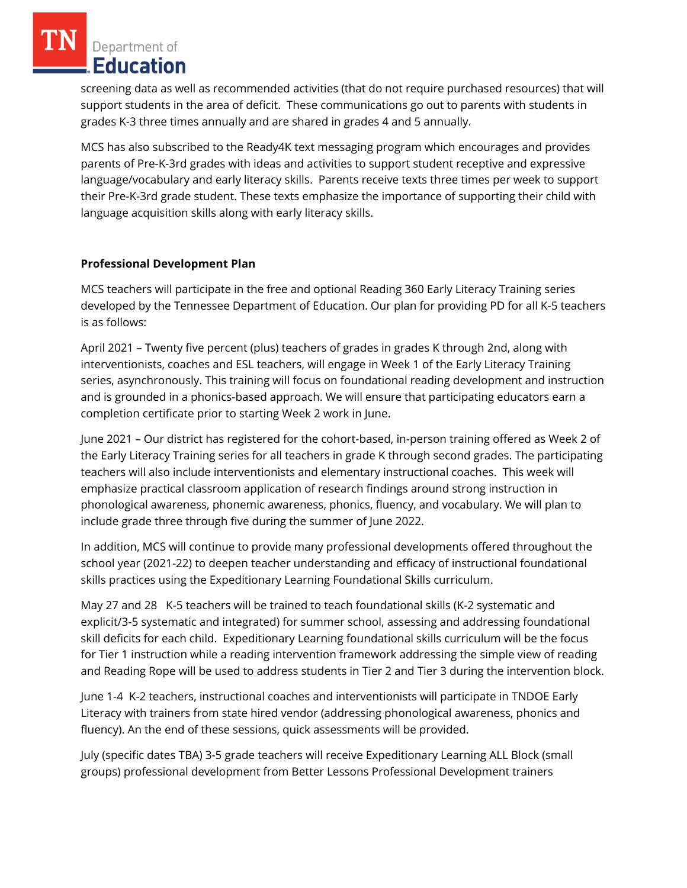screening data as well as recommended activities (that do not require purchased resources) that will support students in the area of deficit. These communications go out to parents with students in grades K-3 three times annually and are shared in grades 4 and 5 annually.

MCS has also subscribed to the Ready4K text messaging program which encourages and provides parents of Pre-K-3rd grades with ideas and activities to support student receptive and expressive language/vocabulary and early literacy skills. Parents receive texts three times per week to support their Pre-K-3rd grade student. These texts emphasize the importance of supporting their child with language acquisition skills along with early literacy skills.

## **Professional Development Plan**

MCS teachers will participate in the free and optional Reading 360 Early Literacy Training series developed by the Tennessee Department of Education. Our plan for providing PD for all K-5 teachers is as follows:

April 2021 – Twenty five percent (plus) teachers of grades in grades K through 2nd, along with interventionists, coaches and ESL teachers, will engage in Week 1 of the Early Literacy Training series, asynchronously. This training will focus on foundational reading development and instruction and is grounded in a phonics-based approach. We will ensure that participating educators earn a completion certificate prior to starting Week 2 work in June.

June 2021 – Our district has registered for the cohort-based, in-person training offered as Week 2 of the Early Literacy Training series for all teachers in grade K through second grades. The participating teachers will also include interventionists and elementary instructional coaches. This week will emphasize practical classroom application of research findings around strong instruction in phonological awareness, phonemic awareness, phonics, fluency, and vocabulary. We will plan to include grade three through five during the summer of June 2022.

In addition, MCS will continue to provide many professional developments offered throughout the school year (2021-22) to deepen teacher understanding and efficacy of instructional foundational skills practices using the Expeditionary Learning Foundational Skills curriculum.

May 27 and 28 K-5 teachers will be trained to teach foundational skills (K-2 systematic and explicit/3-5 systematic and integrated) for summer school, assessing and addressing foundational skill deficits for each child. Expeditionary Learning foundational skills curriculum will be the focus for Tier 1 instruction while a reading intervention framework addressing the simple view of reading and Reading Rope will be used to address students in Tier 2 and Tier 3 during the intervention block.

June 1-4 K-2 teachers, instructional coaches and interventionists will participate in TNDOE Early Literacy with trainers from state hired vendor (addressing phonological awareness, phonics and fluency). An the end of these sessions, quick assessments will be provided.

July (specific dates TBA) 3-5 grade teachers will receive Expeditionary Learning ALL Block (small groups) professional development from Better Lessons Professional Development trainers